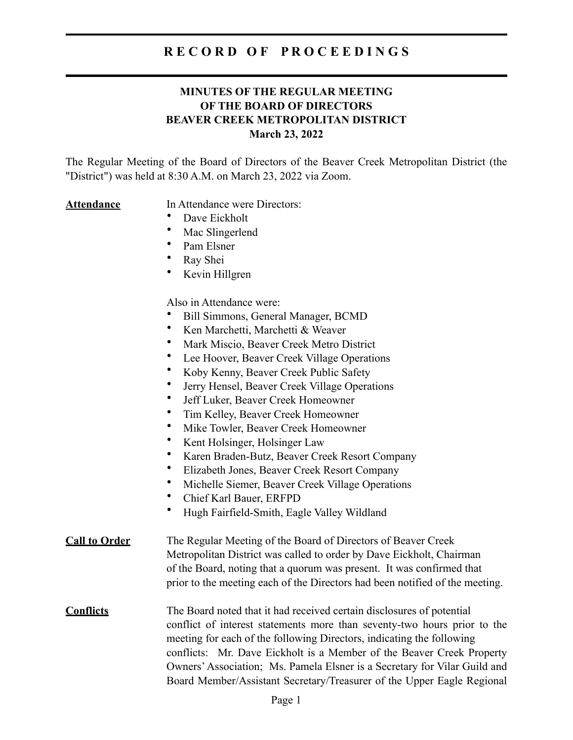#### **MINUTES OF THE REGULAR MEETING OF THE BOARD OF DIRECTORS BEAVER CREEK METROPOLITAN DISTRICT March 23, 2022**

The Regular Meeting of the Board of Directors of the Beaver Creek Metropolitan District (the "District") was held at 8:30 A.M. on March 23, 2022 via Zoom.

#### **Attendance** In Attendance were Directors:

- Dave Eickholt
- Mac Slingerlend
- Pam Elsner
- Ray Shei
- Kevin Hillgren

Also in Attendance were:

- Bill Simmons, General Manager, BCMD
- Ken Marchetti, Marchetti & Weaver
- Mark Miscio, Beaver Creek Metro District
- Lee Hoover, Beaver Creek Village Operations
- Koby Kenny, Beaver Creek Public Safety
- Jerry Hensel, Beaver Creek Village Operations
- Jeff Luker, Beaver Creek Homeowner
- Tim Kelley, Beaver Creek Homeowner
- Mike Towler, Beaver Creek Homeowner
- Kent Holsinger, Holsinger Law
- Karen Braden-Butz, Beaver Creek Resort Company
- Elizabeth Jones, Beaver Creek Resort Company
- Michelle Siemer, Beaver Creek Village Operations
- Chief Karl Bauer, ERFPD
- Hugh Fairfield-Smith, Eagle Valley Wildland

#### **Call to Order** The Regular Meeting of the Board of Directors of Beaver Creek Metropolitan District was called to order by Dave Eickholt, Chairman of the Board, noting that a quorum was present. It was confirmed that prior to the meeting each of the Directors had been notified of the meeting.

**Conflicts** The Board noted that it had received certain disclosures of potential conflict of interest statements more than seventy-two hours prior to the meeting for each of the following Directors, indicating the following conflicts: Mr. Dave Eickholt is a Member of the Beaver Creek Property Owners' Association; Ms. Pamela Elsner is a Secretary for Vilar Guild and Board Member/Assistant Secretary/Treasurer of the Upper Eagle Regional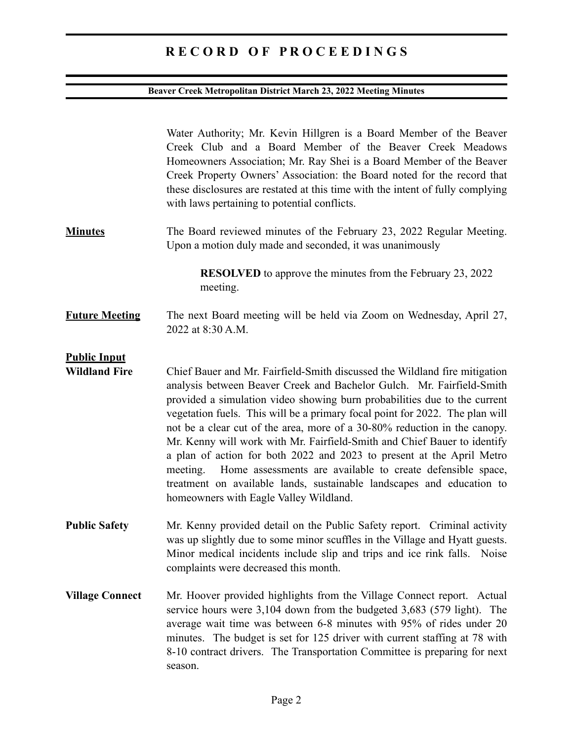## **Beaver Creek Metropolitan District March 23, 2022 Meeting Minutes**

|                                             | Water Authority; Mr. Kevin Hillgren is a Board Member of the Beaver<br>Creek Club and a Board Member of the Beaver Creek Meadows<br>Homeowners Association; Mr. Ray Shei is a Board Member of the Beaver<br>Creek Property Owners' Association: the Board noted for the record that<br>these disclosures are restated at this time with the intent of fully complying<br>with laws pertaining to potential conflicts.                                                                                                                                                                                                                                                                                                                        |
|---------------------------------------------|----------------------------------------------------------------------------------------------------------------------------------------------------------------------------------------------------------------------------------------------------------------------------------------------------------------------------------------------------------------------------------------------------------------------------------------------------------------------------------------------------------------------------------------------------------------------------------------------------------------------------------------------------------------------------------------------------------------------------------------------|
| <b>Minutes</b>                              | The Board reviewed minutes of the February 23, 2022 Regular Meeting.<br>Upon a motion duly made and seconded, it was unanimously                                                                                                                                                                                                                                                                                                                                                                                                                                                                                                                                                                                                             |
|                                             | <b>RESOLVED</b> to approve the minutes from the February 23, 2022<br>meeting.                                                                                                                                                                                                                                                                                                                                                                                                                                                                                                                                                                                                                                                                |
| <b>Future Meeting</b>                       | The next Board meeting will be held via Zoom on Wednesday, April 27,<br>2022 at 8:30 A.M.                                                                                                                                                                                                                                                                                                                                                                                                                                                                                                                                                                                                                                                    |
| <b>Public Input</b><br><b>Wildland Fire</b> | Chief Bauer and Mr. Fairfield-Smith discussed the Wildland fire mitigation<br>analysis between Beaver Creek and Bachelor Gulch. Mr. Fairfield-Smith<br>provided a simulation video showing burn probabilities due to the current<br>vegetation fuels. This will be a primary focal point for 2022. The plan will<br>not be a clear cut of the area, more of a 30-80% reduction in the canopy.<br>Mr. Kenny will work with Mr. Fairfield-Smith and Chief Bauer to identify<br>a plan of action for both 2022 and 2023 to present at the April Metro<br>meeting. Home assessments are available to create defensible space,<br>treatment on available lands, sustainable landscapes and education to<br>homeowners with Eagle Valley Wildland. |
| <b>Public Safety</b>                        | Mr. Kenny provided detail on the Public Safety report. Criminal activity<br>was up slightly due to some minor scuffles in the Village and Hyatt guests.<br>Minor medical incidents include slip and trips and ice rink falls. Noise<br>complaints were decreased this month.                                                                                                                                                                                                                                                                                                                                                                                                                                                                 |
| <b>Village Connect</b>                      | Mr. Hoover provided highlights from the Village Connect report. Actual<br>service hours were 3,104 down from the budgeted 3,683 (579 light). The<br>average wait time was between 6-8 minutes with 95% of rides under 20<br>minutes. The budget is set for 125 driver with current staffing at 78 with<br>8-10 contract drivers. The Transportation Committee is preparing for next<br>season.                                                                                                                                                                                                                                                                                                                                               |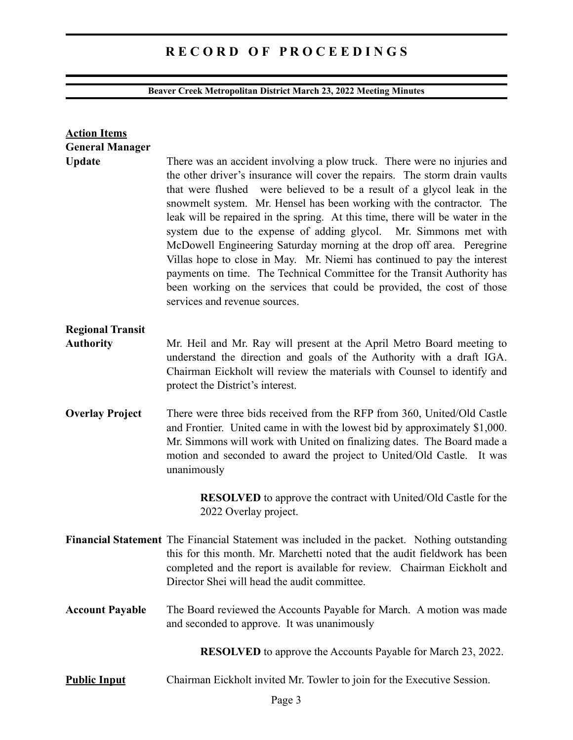## **Beaver Creek Metropolitan District March 23, 2022 Meeting Minutes**

| <b>Action Items</b><br><b>General Manager</b>                       |                                                                                                                                                                                                                                                                                                                                                                                                                                                                                                                                                                                                                                                                                                                                                                                                            |  |
|---------------------------------------------------------------------|------------------------------------------------------------------------------------------------------------------------------------------------------------------------------------------------------------------------------------------------------------------------------------------------------------------------------------------------------------------------------------------------------------------------------------------------------------------------------------------------------------------------------------------------------------------------------------------------------------------------------------------------------------------------------------------------------------------------------------------------------------------------------------------------------------|--|
| <b>Update</b>                                                       | There was an accident involving a plow truck. There were no injuries and<br>the other driver's insurance will cover the repairs. The storm drain vaults<br>that were flushed were believed to be a result of a glycol leak in the<br>snowmelt system. Mr. Hensel has been working with the contractor. The<br>leak will be repaired in the spring. At this time, there will be water in the<br>system due to the expense of adding glycol. Mr. Simmons met with<br>McDowell Engineering Saturday morning at the drop off area. Peregrine<br>Villas hope to close in May. Mr. Niemi has continued to pay the interest<br>payments on time. The Technical Committee for the Transit Authority has<br>been working on the services that could be provided, the cost of those<br>services and revenue sources. |  |
| <b>Regional Transit</b>                                             |                                                                                                                                                                                                                                                                                                                                                                                                                                                                                                                                                                                                                                                                                                                                                                                                            |  |
| <b>Authority</b>                                                    | Mr. Heil and Mr. Ray will present at the April Metro Board meeting to<br>understand the direction and goals of the Authority with a draft IGA.<br>Chairman Eickholt will review the materials with Counsel to identify and<br>protect the District's interest.                                                                                                                                                                                                                                                                                                                                                                                                                                                                                                                                             |  |
| <b>Overlay Project</b>                                              | There were three bids received from the RFP from 360, United/Old Castle<br>and Frontier. United came in with the lowest bid by approximately \$1,000.<br>Mr. Simmons will work with United on finalizing dates. The Board made a<br>motion and seconded to award the project to United/Old Castle. It was<br>unanimously                                                                                                                                                                                                                                                                                                                                                                                                                                                                                   |  |
|                                                                     | <b>RESOLVED</b> to approve the contract with United/Old Castle for the<br>2022 Overlay project.                                                                                                                                                                                                                                                                                                                                                                                                                                                                                                                                                                                                                                                                                                            |  |
|                                                                     | Financial Statement The Financial Statement was included in the packet. Nothing outstanding<br>this for this month. Mr. Marchetti noted that the audit fieldwork has been<br>completed and the report is available for review. Chairman Eickholt and<br>Director Shei will head the audit committee.                                                                                                                                                                                                                                                                                                                                                                                                                                                                                                       |  |
| <b>Account Payable</b>                                              | The Board reviewed the Accounts Payable for March. A motion was made<br>and seconded to approve. It was unanimously                                                                                                                                                                                                                                                                                                                                                                                                                                                                                                                                                                                                                                                                                        |  |
| <b>RESOLVED</b> to approve the Accounts Payable for March 23, 2022. |                                                                                                                                                                                                                                                                                                                                                                                                                                                                                                                                                                                                                                                                                                                                                                                                            |  |
| <b>Public Input</b>                                                 | Chairman Eickholt invited Mr. Towler to join for the Executive Session.                                                                                                                                                                                                                                                                                                                                                                                                                                                                                                                                                                                                                                                                                                                                    |  |
|                                                                     |                                                                                                                                                                                                                                                                                                                                                                                                                                                                                                                                                                                                                                                                                                                                                                                                            |  |